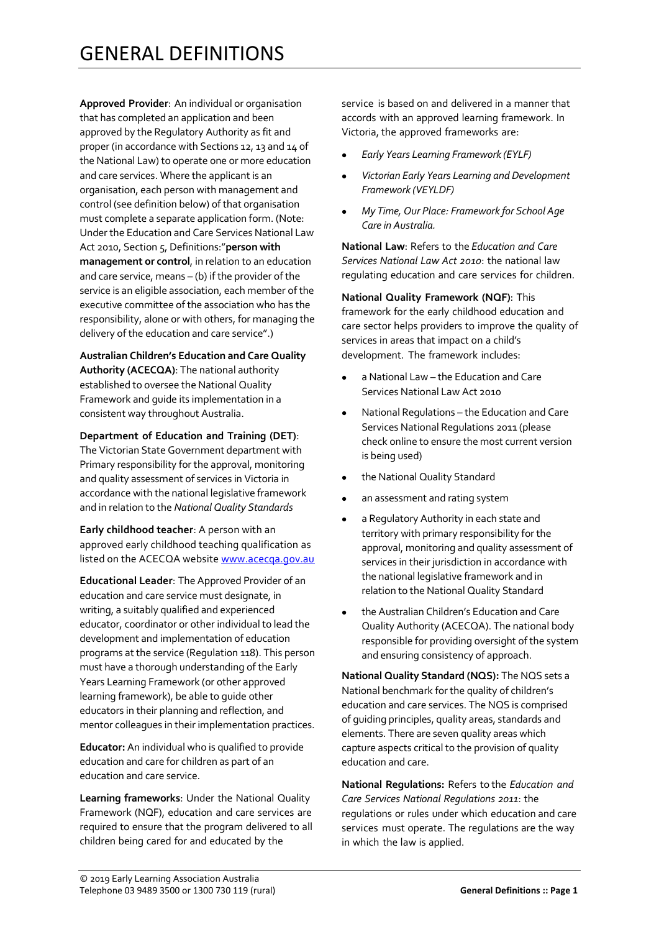**Approved Provider**: An individual or organisation that has completed an application and been approved by the Regulatory Authority as fit and proper (in accordance with Sections 12, 13 and 14 of the National Law) to operate one or more education and care services. Where the applicant is an organisation, each person with management and control (see definition below) of that organisation must complete a separate application form. (Note: Under the Education and Care Services National Law Act 2010, Section 5, Definitions:"**person with management or control**, in relation to an education and care service, means – (b) if the provider of the service is an eligible association, each member of the executive committee of the association who has the responsibility, alone or with others, for managing the delivery of the education and care service".)

**Australian Children's Education and Care Quality Authority (ACECQA)**: The national authority established to oversee the National Quality Framework and guide its implementation in a consistent way throughout Australia.

**Department of Education and Training (DET)**:

The Victorian State Government department with Primary responsibility for the approval, monitoring and quality assessment of services in Victoria in accordance with the national legislative framework and in relation to the *National Quality Standards*

**Early childhood teacher**: A person with an approved early childhood teaching qualification as listed on the ACECQA website [www.acecqa.gov.au](http://www.acecqa.gov.au/)

**Educational Leader**: The Approved Provider of an education and care service must designate, in writing, a suitably qualified and experienced educator, coordinator or other individual to lead the development and implementation of education programs at the service (Regulation 118). This person must have a thorough understanding of the Early Years Learning Framework (or other approved learning framework), be able to guide other educators in their planning and reflection, and mentor colleagues in their implementation practices.

**Educator:** An individual who is qualified to provide education and care for children as part of an education and care service.

**Learning frameworks**: Under the National Quality Framework (NQF), education and care services are required to ensure that the program delivered to all children being cared for and educated by the

service is based on and delivered in a manner that accords with an approved learning framework. In Victoria, the approved frameworks are:

- *Early Years Learning Framework (EYLF)*
- *Victorian Early Years Learning and Development Framework (VEYLDF)*
- *My Time, Our Place: Framework for School Age Care in Australia.*

**National Law**: Refers to the *Education and Care Services National Law Act 2010*: the national law regulating education and care services for children.

**National Quality Framework (NQF)**: This framework for the early childhood education and care sector helps providers to improve the quality of services in areas that impact on a child's development. The framework includes:

- a National Law the Education and Care Services National Law Act 2010
- National Regulations the Education and Care Services National Regulations 2011 (please check online to ensure the most current version is being used)
- the National Quality Standard
- an assessment and rating system
- a Regulatory Authority in each state and territory with primary responsibility for the approval, monitoring and quality assessment of services in their jurisdiction in accordance with the national legislative framework and in relation to the National Quality Standard
- the Australian Children's Education and Care Quality Authority (ACECQA). The national body responsible for providing oversight of the system and ensuring consistency of approach.

**National Quality Standard (NQS):** The NQS sets a National benchmark for the quality of children's education and care services. The NQS is comprised of guiding principles, quality areas, standards and elements. There are seven quality areas which capture aspects critical to the provision of quality education and care.

**National Regulations:** Refers to the *Education and Care Services National Regulations 2011*: the regulations or rules under which education and care services must operate. The regulations are the way in which the law is applied.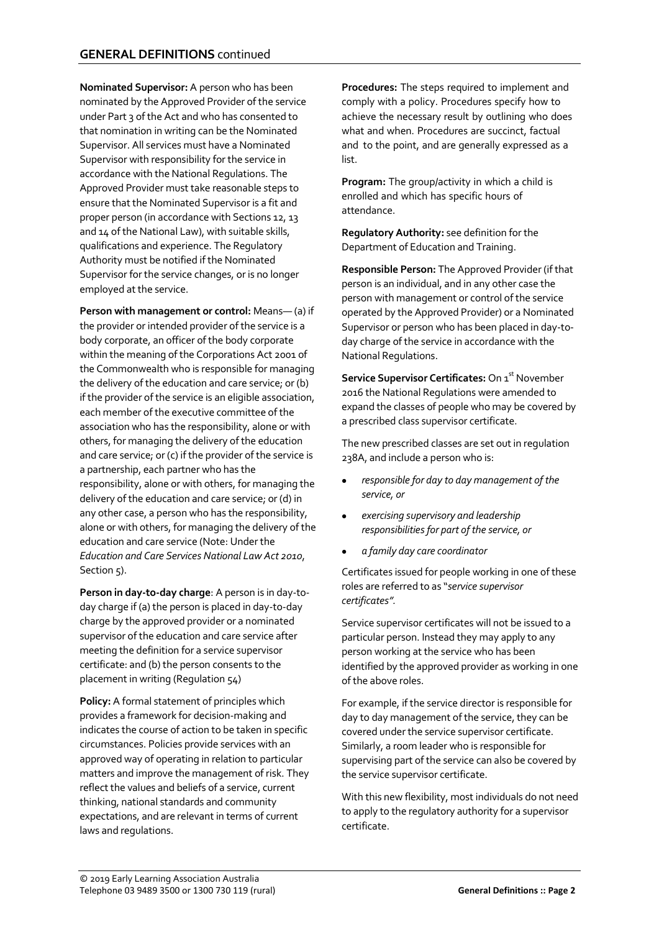**Nominated Supervisor:** A person who has been nominated by the Approved Provider of the service under Part 3 of the Act and who has consented to that nomination in writing can be the Nominated Supervisor. All services must have a Nominated Supervisor with responsibility for the service in accordance with the National Regulations. The Approved Provider must take reasonable steps to ensure that the Nominated Supervisor is a fit and proper person (in accordance with Sections 12, 13 and 14 of the National Law), with suitable skills, qualifications and experience. The Regulatory Authority must be notified if the Nominated Supervisor for the service changes, or is no longer employed at the service.

**Person with management or control:** Means— (a) if the provider or intended provider of the service is a body corporate, an officer of the body corporate within the meaning of the Corporations Act 2001 of the Commonwealth who is responsible for managing the delivery of the education and care service; or (b) if the provider of the service is an eligible association, each member of the executive committee of the association who has the responsibility, alone or with others, for managing the delivery of the education and care service; or (c) if the provider of the service is a partnership, each partner who has the responsibility, alone or with others, for managing the delivery of the education and care service; or (d) in any other case, a person who has the responsibility, alone or with others, for managing the delivery of the education and care service (Note: Under the *Education and Care Services National Law Act 2010*, Section 5).

**Person in day-to-day charge**: A person is in day-today charge if (a) the person is placed in day-to-day charge by the approved provider or a nominated supervisor of the education and care service after meeting the definition for a service supervisor certificate: and (b) the person consents to the placement in writing (Regulation 54)

**Policy:** A formal statement of principles which provides a framework for decision-making and indicates the course of action to be taken in specific circumstances. Policies provide services with an approved way of operating in relation to particular matters and improve the management of risk. They reflect the values and beliefs of a service, current thinking, national standards and community expectations, and are relevant in terms of current laws and regulations.

**Procedures:** The steps required to implement and comply with a policy. Procedures specify how to achieve the necessary result by outlining who does what and when. Procedures are succinct, factual and to the point, and are generally expressed as a list.

**Program:** The group/activity in which a child is enrolled and which has specific hours of attendance.

**Regulatory Authority:** see definition for the Department of Education and Training.

**Responsible Person:** The Approved Provider (if that person is an individual, and in any other case the person with management or control of the service operated by the Approved Provider) or a Nominated Supervisor or person who has been placed in day-today charge of the service in accordance with the National Regulations.

**Service Supervisor Certificates: On 1<sup>st</sup> November** 2016 the National Regulations were amended to expand the classes of people who may be covered by a prescribed class supervisor certificate.

The new prescribed classes are set out in regulation 238A, and include a person who is:

- *responsible for day to day management of the service, or*
- *exercising supervisory and leadership responsibilities for part of the service, or*
- *a family day care coordinator*

Certificates issued for people working in one of these roles are referred to as "*service supervisor certificates".*

Service supervisor certificates will not be issued to a particular person. Instead they may apply to any person working at the service who has been identified by the approved provider as working in one of the above roles.

For example, if the service director is responsible for day to day management of the service, they can be covered under the service supervisor certificate. Similarly, a room leader who is responsible for supervising part of the service can also be covered by the service supervisor certificate.

With this new flexibility, most individuals do not need to apply to the regulatory authority for a supervisor certificate.